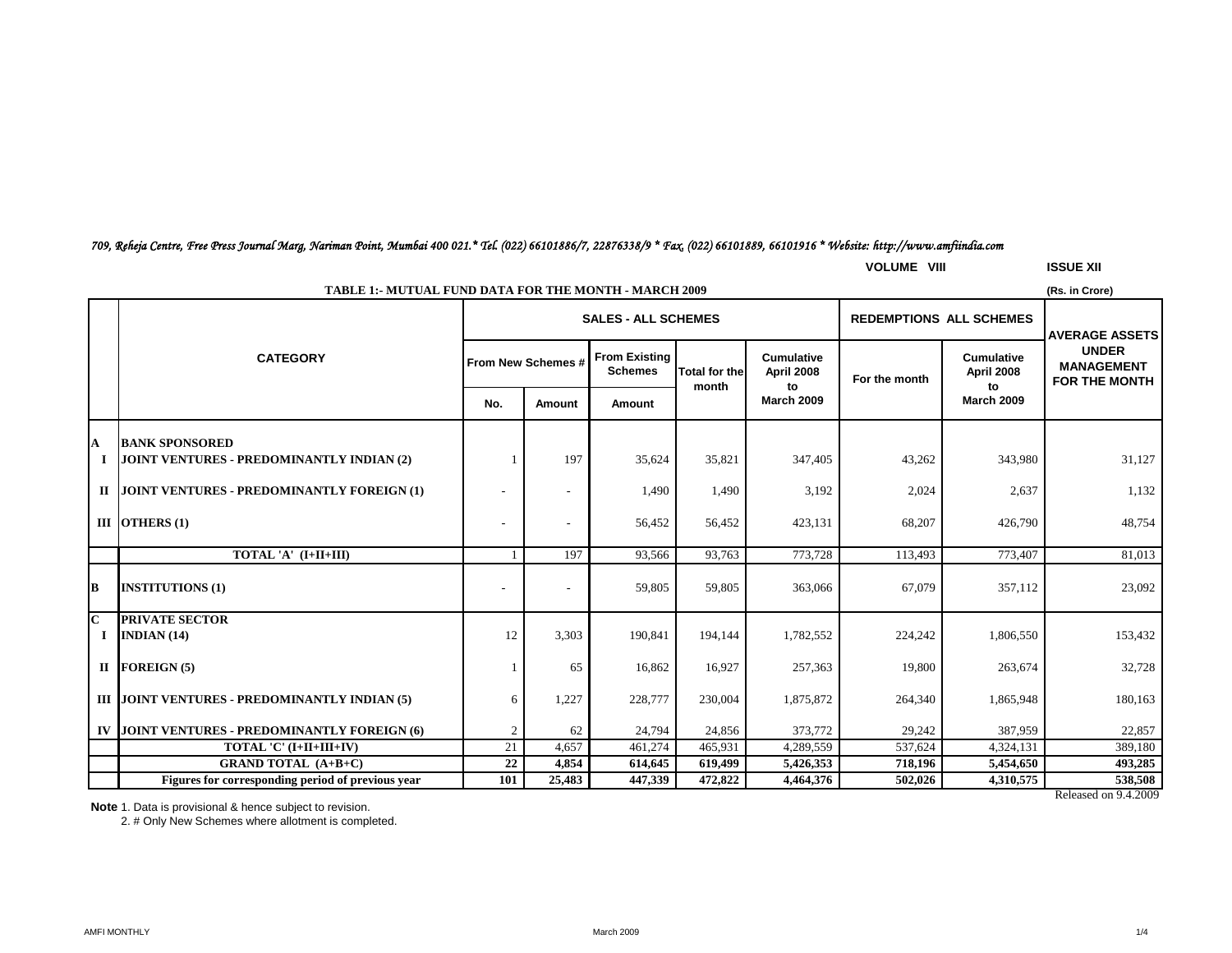## *709, Reheja Centre, Free Press Journal Marg, Nariman Point, Mumbai 400 021.\* Tel. (022) 66101886/7, 22876338/9 \* Fax. (022) 66101889, 66101916 \* Website: http://www.amfiindia.com*

**VOLUME VIII ISSUE XII**

|             | <b>TABLE 1:- MUTUAL FUND DATA FOR THE MONTH - MARCH 2009</b><br>(Rs. in Crore) |                                                              |                          |                                        |                      |                                 |               |                                 |                                                           |  |
|-------------|--------------------------------------------------------------------------------|--------------------------------------------------------------|--------------------------|----------------------------------------|----------------------|---------------------------------|---------------|---------------------------------|-----------------------------------------------------------|--|
|             |                                                                                | <b>REDEMPTIONS ALL SCHEMES</b><br><b>SALES - ALL SCHEMES</b> |                          |                                        |                      |                                 |               |                                 | <b>AVERAGE ASSETS</b>                                     |  |
|             | <b>CATEGORY</b>                                                                |                                                              | From New Schemes #       | <b>From Existing</b><br><b>Schemes</b> | <b>Total for the</b> | <b>Cumulative</b><br>April 2008 | For the month | <b>Cumulative</b><br>April 2008 | <b>UNDER</b><br><b>MANAGEMENT</b><br><b>FOR THE MONTH</b> |  |
|             |                                                                                | No.                                                          | Amount                   | Amount                                 | month                | to<br><b>March 2009</b>         |               | to<br><b>March 2009</b>         |                                                           |  |
| A           | <b>BANK SPONSORED</b>                                                          |                                                              |                          |                                        |                      |                                 |               |                                 |                                                           |  |
|             | JOINT VENTURES - PREDOMINANTLY INDIAN (2)                                      |                                                              | 197                      | 35,624                                 | 35,821               | 347,405                         | 43,262        | 343,980                         | 31,127                                                    |  |
|             | II JOINT VENTURES - PREDOMINANTLY FOREIGN (1)                                  |                                                              | $\overline{\phantom{a}}$ | 1,490                                  | 1,490                | 3,192                           | 2,024         | 2,637                           | 1,132                                                     |  |
|             | III OTHERS $(1)$                                                               |                                                              | $\overline{a}$           | 56,452                                 | 56,452               | 423,131                         | 68,207        | 426,790                         | 48,754                                                    |  |
|             | TOTAL 'A' (I+II+III)                                                           |                                                              | 197                      | 93,566                                 | 93,763               | 773,728                         | 113,493       | 773,407                         | 81,013                                                    |  |
| B           | <b>INSTITUTIONS (1)</b>                                                        |                                                              |                          | 59,805                                 | 59,805               | 363,066                         | 67.079        | 357.112                         | 23,092                                                    |  |
| $\mathbf C$ | <b>PRIVATE SECTOR</b>                                                          |                                                              |                          |                                        |                      |                                 |               |                                 |                                                           |  |
| Ι.          | INDIAN $(14)$                                                                  | 12                                                           | 3,303                    | 190,841                                | 194,144              | 1,782,552                       | 224,242       | 1,806,550                       | 153,432                                                   |  |
|             | $II$ FOREIGN (5)                                                               |                                                              | 65                       | 16,862                                 | 16,927               | 257,363                         | 19,800        | 263,674                         | 32,728                                                    |  |
|             | III JOINT VENTURES - PREDOMINANTLY INDIAN (5)                                  | 6                                                            | 1,227                    | 228,777                                | 230,004              | 1,875,872                       | 264,340       | 1,865,948                       | 180,163                                                   |  |
|             | IV JOINT VENTURES - PREDOMINANTLY FOREIGN (6)                                  | $\overline{2}$                                               | 62                       | 24,794                                 | 24,856               | 373,772                         | 29,242        | 387,959                         | 22,857                                                    |  |
|             | TOTAL 'C' (I+II+III+IV)                                                        | 21                                                           | 4,657                    | 461,274                                | 465,931              | 4,289,559                       | 537,624       | 4,324,131                       | 389,180                                                   |  |
|             | <b>GRAND TOTAL (A+B+C)</b>                                                     | 22                                                           | 4,854                    | 614,645                                | 619,499              | 5,426,353                       | 718,196       | 5,454,650                       | 493,285                                                   |  |
|             | Figures for corresponding period of previous year                              | 101                                                          | 25,483                   | 447,339                                | 472,822              | 4,464,376                       | 502,026       | 4,310,575                       | 538,508                                                   |  |

Released on 9.4.2009

**Note** 1. Data is provisional & hence subject to revision.

2. # Only New Schemes where allotment is completed.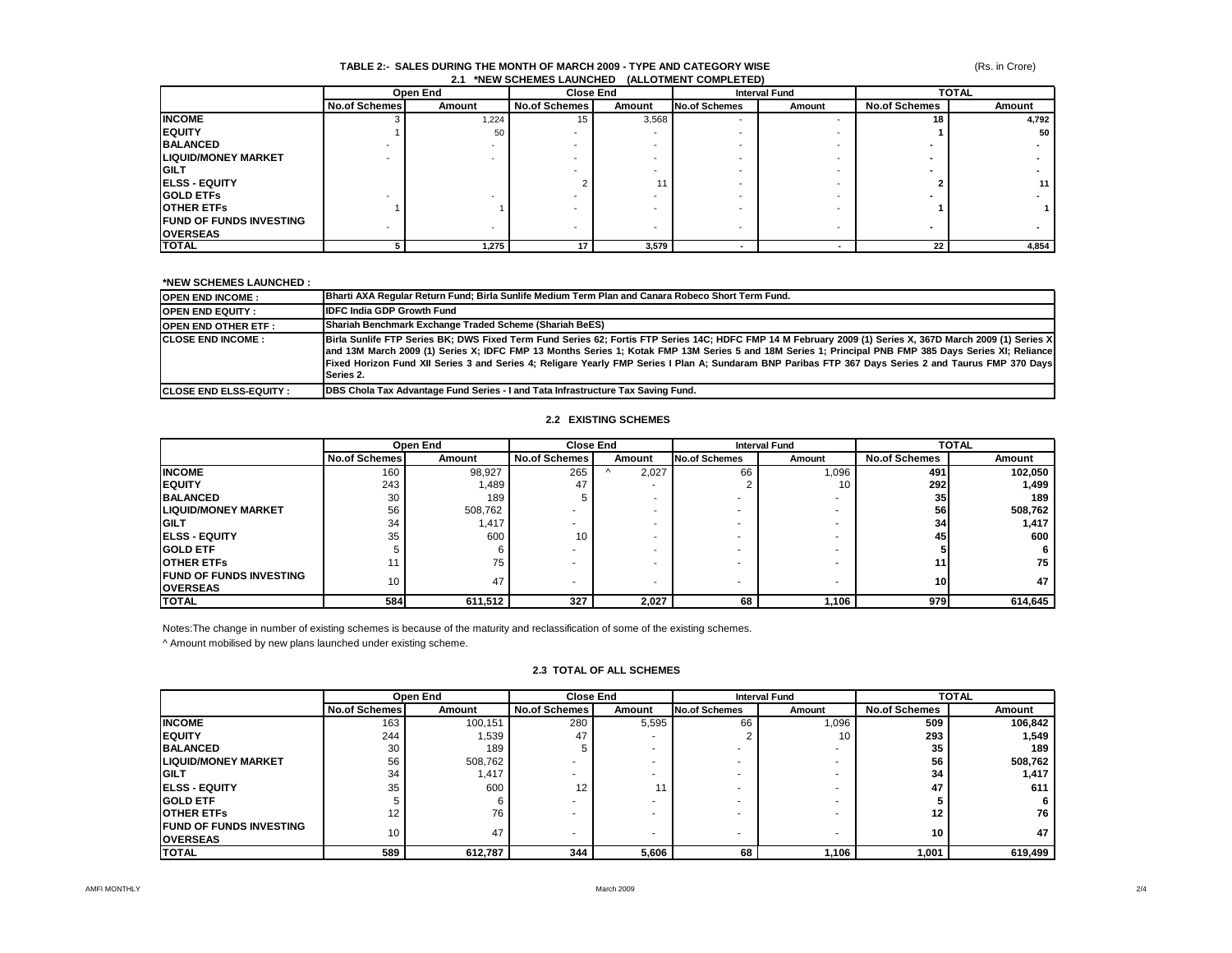### (Rs. in Crore)

#### **TABLE 2:- SALES DURING THE MONTH OF MARCH 2009 - TYPE AND CATEGORY WISE 2.1 \*NEW SCHEMES LAUNCHED (ALLOTMENT COMPLETED)**

|                                | Open End             |        | <b>Close End</b>     |                          | <b>Interval Fund</b> |                          | <b>TOTAL</b>         |        |
|--------------------------------|----------------------|--------|----------------------|--------------------------|----------------------|--------------------------|----------------------|--------|
|                                | <b>No.of Schemes</b> | Amount | <b>No.of Schemes</b> | Amount                   | <b>No.of Schemes</b> | Amount                   | <b>No.of Schemes</b> | Amount |
| <b>INCOME</b>                  |                      | 1,224  | 15                   | 3,568                    |                      |                          | 18                   | 4,792  |
| <b>IEQUITY</b>                 |                      | 50     |                      |                          |                      |                          |                      | 50 l   |
| <b>BALANCED</b>                |                      |        |                      |                          |                      |                          |                      |        |
| <b>LIQUID/MONEY MARKET</b>     |                      |        |                      |                          |                      |                          |                      |        |
| <b>IGILT</b>                   |                      |        |                      |                          |                      |                          |                      |        |
| <b>IELSS - EQUITY</b>          |                      |        |                      |                          |                      |                          |                      | 11     |
| <b>IGOLD ETFS</b>              |                      |        |                      |                          |                      |                          |                      |        |
| <b>OTHER ETFS</b>              |                      |        |                      |                          |                      |                          |                      |        |
| <b>FUND OF FUNDS INVESTING</b> |                      |        |                      |                          |                      |                          |                      |        |
| <b>OVERSEAS</b>                |                      |        |                      | $\overline{\phantom{a}}$ |                      | $\overline{\phantom{a}}$ |                      |        |
| <b>TOTAL</b>                   |                      | 1,275  | 17                   | 3,579                    | $\blacksquare$       |                          | 22                   | 4,854  |

#### **\*NEW SCHEMES LAUNCHED :**

| <b>OPEN END INCOME:</b>         | Bharti AXA Regular Return Fund; Birla Sunlife Medium Term Plan and Canara Robeco Short Term Fund.                                                                                                                                                                                                                                                                                                                                                                                        |
|---------------------------------|------------------------------------------------------------------------------------------------------------------------------------------------------------------------------------------------------------------------------------------------------------------------------------------------------------------------------------------------------------------------------------------------------------------------------------------------------------------------------------------|
| <b>OPEN END EQUITY:</b>         | <b>IDFC India GDP Growth Fund</b>                                                                                                                                                                                                                                                                                                                                                                                                                                                        |
| <b>OPEN END OTHER ETF:</b>      | Shariah Benchmark Exchange Traded Scheme (Shariah BeES)                                                                                                                                                                                                                                                                                                                                                                                                                                  |
| <b>ICLOSE END INCOME:</b>       | Birla Sunlife FTP Series BK; DWS Fixed Term Fund Series 62; Fortis FTP Series 14C; HDFC FMP 14 M February 2009 (1) Series X, 367D March 2009 (1) Series X<br>and 13M March 2009 (1) Series X; IDFC FMP 13 Months Series 1; Kotak FMP 13M Series 5 and 18M Series 1; Principal PNB FMP 385 Days Series XI; Reliance<br>Fixed Horizon Fund XII Series 3 and Series 4; Religare Yearly FMP Series I Plan A; Sundaram BNP Paribas FTP 367 Days Series 2 and Taurus FMP 370 Days<br>Series 2. |
| <b>ICLOSE END ELSS-EQUITY :</b> | <b>IDBS Chola Tax Advantage Fund Series - I and Tata Infrastructure Tax Saving Fund.</b>                                                                                                                                                                                                                                                                                                                                                                                                 |

## **2.2 EXISTING SCHEMES**

|                                                    | Open End             |         | <b>Close End</b>     |                          | <b>Interval Fund</b> |        | <b>TOTAL</b>         |         |
|----------------------------------------------------|----------------------|---------|----------------------|--------------------------|----------------------|--------|----------------------|---------|
|                                                    | <b>No.of Schemes</b> | Amount  | <b>No.of Schemes</b> | Amount                   | <b>No.of Schemes</b> | Amount | <b>No.of Schemes</b> | Amount  |
| <b>INCOME</b>                                      | 160                  | 98,927  | 265                  | 2.027                    | 66                   | 1,096  | 491                  | 102,050 |
| <b>IEQUITY</b>                                     | 243                  | 489. ا  | 47                   | $\overline{\phantom{a}}$ |                      | 10     | <b>292</b>           | 1,499   |
| <b>BALANCED</b>                                    | 30                   | 189     |                      |                          |                      |        | 35 <sub>1</sub>      | 189     |
| <b>LIQUID/MONEY MARKET</b>                         | 56                   | 508,762 |                      |                          |                      | ۰      | 56                   | 508,762 |
| <b>IGILT</b>                                       | 34                   | 1.417   |                      |                          |                      | ۰      | 34                   | 1,417   |
| <b>IELSS - EQUITY</b>                              | 35                   | 600     | 10                   |                          |                      | ۰      | 45                   | 600     |
| <b>GOLD ETF</b>                                    |                      |         |                      |                          |                      |        |                      |         |
| <b>OTHER ETFS</b>                                  |                      | 75      |                      |                          |                      | ۰      |                      | 75      |
| <b>IFUND OF FUNDS INVESTING</b><br><b>OVERSEAS</b> | 10                   | 47      |                      |                          |                      |        | 10                   | 47      |
| <b>ITOTAL</b>                                      | 584                  | 611,512 | 327                  | 2,027                    | 68                   | 1,106  | 9791                 | 614,645 |

Notes:The change in number of existing schemes is because of the maturity and reclassification of some of the existing schemes.

^ Amount mobilised by new plans launched under existing scheme.

|                                                   |                      | Open End | <b>Close End</b>     |        | <b>Interval Fund</b>     |        | <b>TOTAL</b>         |         |
|---------------------------------------------------|----------------------|----------|----------------------|--------|--------------------------|--------|----------------------|---------|
|                                                   | <b>No.of Schemes</b> | Amount   | <b>No.of Schemes</b> | Amount | No.of Schemes            | Amount | <b>No.of Schemes</b> | Amount  |
| <b>INCOME</b>                                     | 163                  | 100,151  | 280                  | 5,595  | 66                       | 1,096  | 509                  | 106.842 |
| <b>EQUITY</b>                                     | 244                  | 1.539    | 47                   |        |                          | 10     | 293                  | 1,549   |
| <b>BALANCED</b>                                   | 30                   | 189      |                      |        |                          |        | 35                   | 189     |
| <b>LIQUID/MONEY MARKET</b>                        | 56                   | 508,762  |                      |        |                          |        | 56                   | 508,762 |
| <b>GILT</b>                                       | 34                   | 1.417    |                      |        |                          |        | 34                   | 1,417   |
| <b>IELSS - EQUITY</b>                             | 35                   | 600      | 12                   |        |                          |        | 47                   | 611     |
| <b>GOLD ETF</b>                                   |                      |          |                      |        |                          |        |                      | 6       |
| <b>OTHER ETFS</b>                                 |                      | 76       |                      |        |                          |        | 12 <sup>12</sup>     | 76      |
| <b>FUND OF FUNDS INVESTING</b><br><b>OVERSEAS</b> | 10                   | 47       |                      |        | $\overline{\phantom{a}}$ |        | 10                   | 47      |
| <b>TOTAL</b>                                      | 589                  | 612,787  | 344                  | 5,606  | 68                       | 1,106  | 1,001                | 619.499 |

### **2.3 TOTAL OF ALL SCHEMES**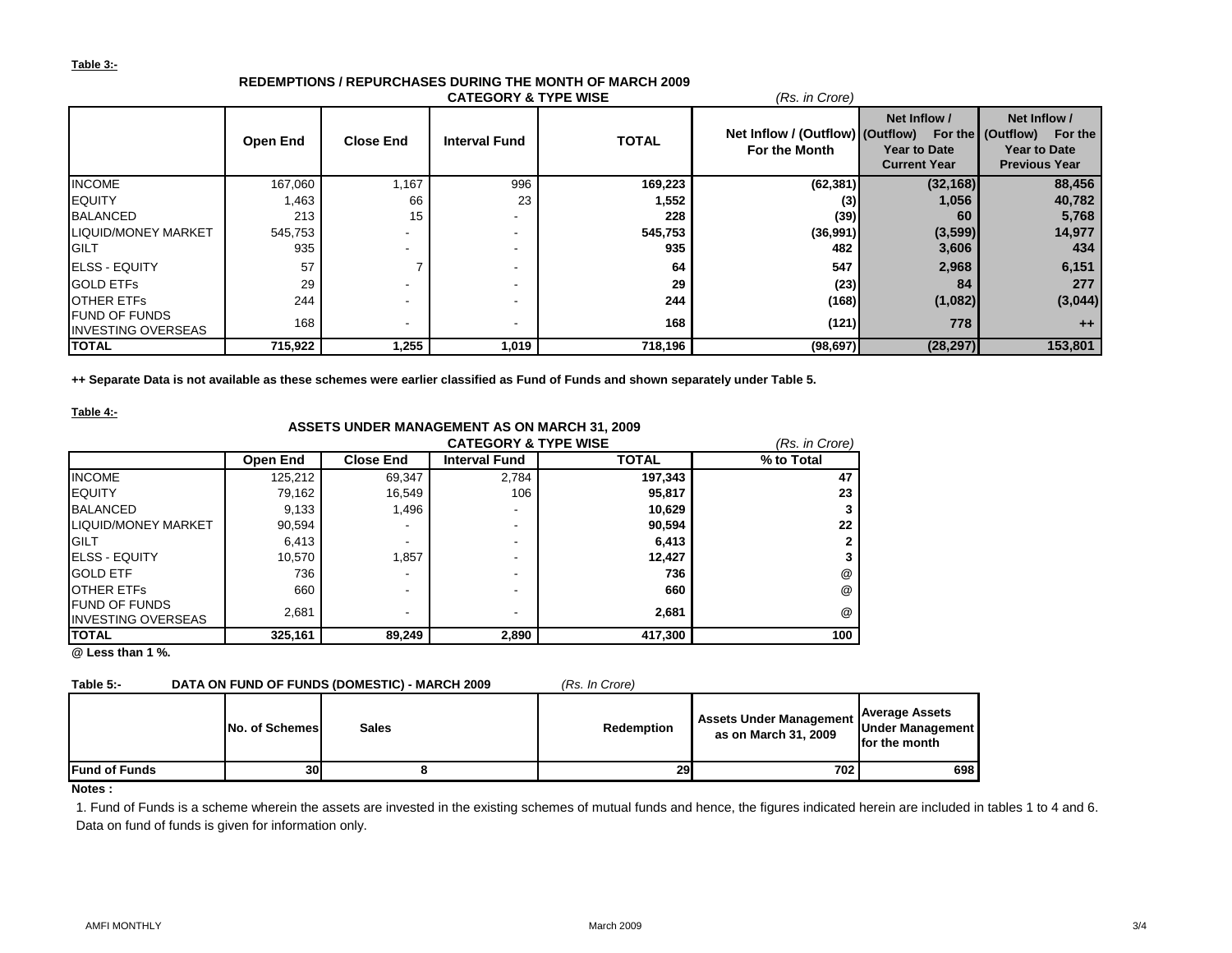## **Table 3:-**

|                                                   |                 |                  | <b>CATEGORY &amp; TYPE WISE</b> |              | (Rs. in Crore)                                    |                                                            |                                                                                          |
|---------------------------------------------------|-----------------|------------------|---------------------------------|--------------|---------------------------------------------------|------------------------------------------------------------|------------------------------------------------------------------------------------------|
|                                                   | <b>Open End</b> | <b>Close End</b> | <b>Interval Fund</b>            | <b>TOTAL</b> | Net Inflow / (Outflow) (Outflow)<br>For the Month | Net Inflow /<br><b>Year to Date</b><br><b>Current Year</b> | Net Inflow /<br>For the (Outflow) For the<br><b>Year to Date</b><br><b>Previous Year</b> |
| <b>INCOME</b>                                     | 167,060         | 1,167            | 996                             | 169,223      | (62, 381)                                         | (32, 168)                                                  | 88,456                                                                                   |
| <b>EQUITY</b>                                     | 1,463           | 66               | 23                              | 1,552        | (3)                                               | 1,056                                                      | 40,782                                                                                   |
| <b>BALANCED</b>                                   | 213             | 15               |                                 | 228          | (39)                                              | 60                                                         | 5,768                                                                                    |
| <b>LIQUID/MONEY MARKET</b>                        | 545,753         |                  | $\overline{\phantom{a}}$        | 545,753      | (36,991)                                          | (3,599)                                                    | 14,977                                                                                   |
| <b>GILT</b>                                       | 935             |                  | $\overline{\phantom{a}}$        | 935          | 482                                               | 3,606                                                      | 434                                                                                      |
| <b>IELSS - EQUITY</b>                             | 57              |                  |                                 | 64           | 547                                               | 2,968                                                      | 6,151                                                                                    |
| <b>GOLD ETFS</b>                                  | 29              |                  | $\overline{\phantom{a}}$        | 29           | (23)                                              | 84                                                         | 277                                                                                      |
| <b>OTHER ETFS</b>                                 | 244             |                  |                                 | 244          | (168)                                             | (1,082)                                                    | (3,044)                                                                                  |
| <b>FUND OF FUNDS</b><br><b>INVESTING OVERSEAS</b> | 168             |                  | $\overline{\phantom{a}}$        | 168          | (121)                                             | 778                                                        | $++$                                                                                     |
| <b>TOTAL</b>                                      | 715,922         | 1,255            | 1,019                           | 718,196      | (98, 697)                                         | (28, 297)                                                  | 153,801                                                                                  |

# **REDEMPTIONS / REPURCHASES DURING THE MONTH OF MARCH 2009**

**++ Separate Data is not available as these schemes were earlier classified as Fund of Funds and shown separately under Table 5.**

**Table 4:-**

## **ASSETS UNDER MANAGEMENT AS ON MARCH 31, 2009**

|                            |                 |                          | (Rs. in Crore)           |              |                      |
|----------------------------|-----------------|--------------------------|--------------------------|--------------|----------------------|
|                            | <b>Open End</b> | <b>Close End</b>         | <b>Interval Fund</b>     | <b>TOTAL</b> | % to Total           |
| <b>INCOME</b>              | 125,212         | 69,347                   | 2,784                    | 197,343      | 47                   |
| <b>EQUITY</b>              | 79,162          | 16,549                   | 106                      | 95,817       | 23                   |
| <b>BALANCED</b>            | 9,133           | 1,496                    | $\overline{\phantom{a}}$ | 10,629       |                      |
| <b>LIQUID/MONEY MARKET</b> | 90,594          | $\overline{\phantom{a}}$ | $\overline{\phantom{a}}$ | 90,594       | 22                   |
| <b>IGILT</b>               | 6,413           | $\overline{\phantom{a}}$ | $\overline{\phantom{0}}$ | 6,413        |                      |
| <b>IELSS - EQUITY</b>      | 10.570          | 1,857                    | $\overline{\phantom{0}}$ | 12,427       |                      |
| <b>GOLD ETF</b>            | 736             | -                        | $\overline{\phantom{a}}$ | 736          | @                    |
| <b>OTHER ETFS</b>          | 660             | -                        | $\overline{\phantom{a}}$ | 660          | @                    |
| <b>FUND OF FUNDS</b>       | 2.681           | $\overline{\phantom{a}}$ | $\overline{\phantom{a}}$ | 2,681        | $^{\textregistered}$ |
| <b>INVESTING OVERSEAS</b>  |                 |                          |                          |              |                      |
| <b>ITOTAL</b>              | 325,161         | 89,249                   | 2,890                    | 417,300      | 100                  |

**@ Less than 1 %.**

| Table 5:-            |                       | DATA ON FUND OF FUNDS (DOMESTIC) - MARCH 2009 | (Rs. In Crore) |                                                        |                                                            |
|----------------------|-----------------------|-----------------------------------------------|----------------|--------------------------------------------------------|------------------------------------------------------------|
|                      | <b>No. of Schemes</b> | <b>Sales</b>                                  | Redemption     | <b>Assets Under Management</b><br>as on March 31, 2009 | <b>Average Assets</b><br>Under Management<br>for the month |
| <b>Fund of Funds</b> | <b>30</b>             |                                               | 29             | 702                                                    | 698                                                        |

## **Notes :**

1. Fund of Funds is a scheme wherein the assets are invested in the existing schemes of mutual funds and hence, the figures indicated herein are included in tables 1 to 4 and 6. Data on fund of funds is given for information only.